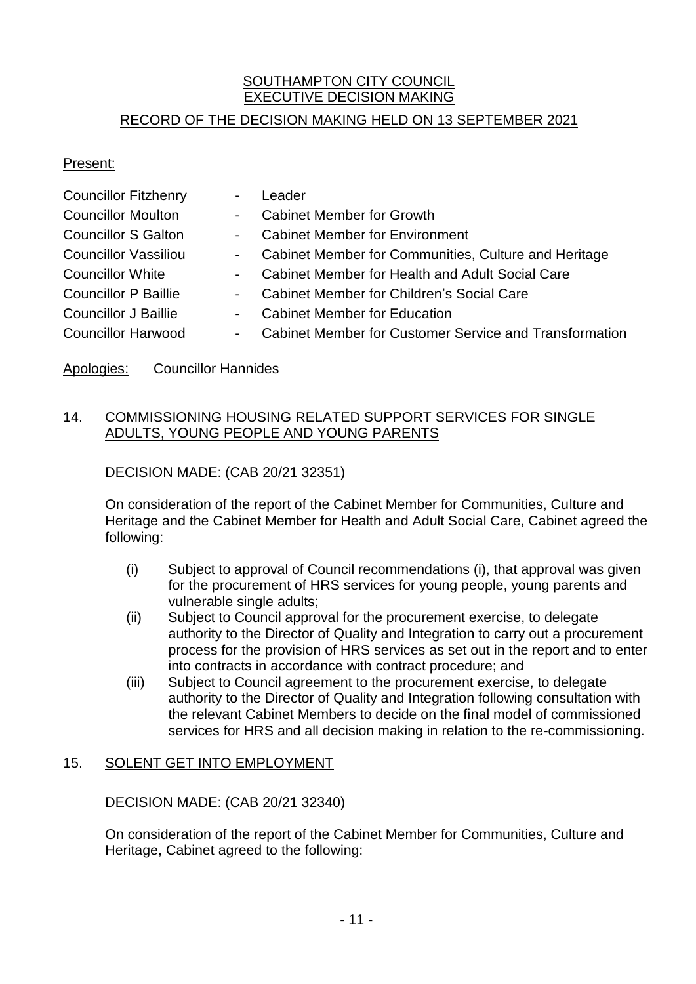### **SOUTHAMPTON CITY COUNCIL** EXECUTIVE DECISION MAKING

## RECORD OF THE DECISION MAKING HELD ON 13 SEPTEMBER 2021

#### Present:

| <b>Councillor Fitzhenry</b> | $\overline{\phantom{a}}$ | Leader                                                 |
|-----------------------------|--------------------------|--------------------------------------------------------|
| <b>Councillor Moulton</b>   | $\sim$                   | <b>Cabinet Member for Growth</b>                       |
| <b>Councillor S Galton</b>  | $\sim 100$               | <b>Cabinet Member for Environment</b>                  |
| Councillor Vassiliou        | $\sim 100$               | Cabinet Member for Communities, Culture and Heritage   |
| Councillor White            | $\blacksquare$           | Cabinet Member for Health and Adult Social Care        |
| <b>Councillor P Baillie</b> | $\sim$ 10 $\pm$          | Cabinet Member for Children's Social Care              |
| Councillor J Baillie        | $\sim$                   | <b>Cabinet Member for Education</b>                    |
| <b>Councillor Harwood</b>   | $\sim$                   | Cabinet Member for Customer Service and Transformation |
|                             |                          |                                                        |

#### Apologies: Councillor Hannides

#### 14. COMMISSIONING HOUSING RELATED SUPPORT SERVICES FOR SINGLE ADULTS, YOUNG PEOPLE AND YOUNG PARENTS

#### DECISION MADE: (CAB 20/21 32351)

On consideration of the report of the Cabinet Member for Communities, Culture and Heritage and the Cabinet Member for Health and Adult Social Care, Cabinet agreed the following:

- (i) Subject to approval of Council recommendations (i), that approval was given for the procurement of HRS services for young people, young parents and vulnerable single adults;
- (ii) Subject to Council approval for the procurement exercise, to delegate authority to the Director of Quality and Integration to carry out a procurement process for the provision of HRS services as set out in the report and to enter into contracts in accordance with contract procedure; and
- (iii) Subject to Council agreement to the procurement exercise, to delegate authority to the Director of Quality and Integration following consultation with the relevant Cabinet Members to decide on the final model of commissioned services for HRS and all decision making in relation to the re-commissioning.

#### 15. SOLENT GET INTO EMPLOYMENT

DECISION MADE: (CAB 20/21 32340)

On consideration of the report of the Cabinet Member for Communities, Culture and Heritage, Cabinet agreed to the following: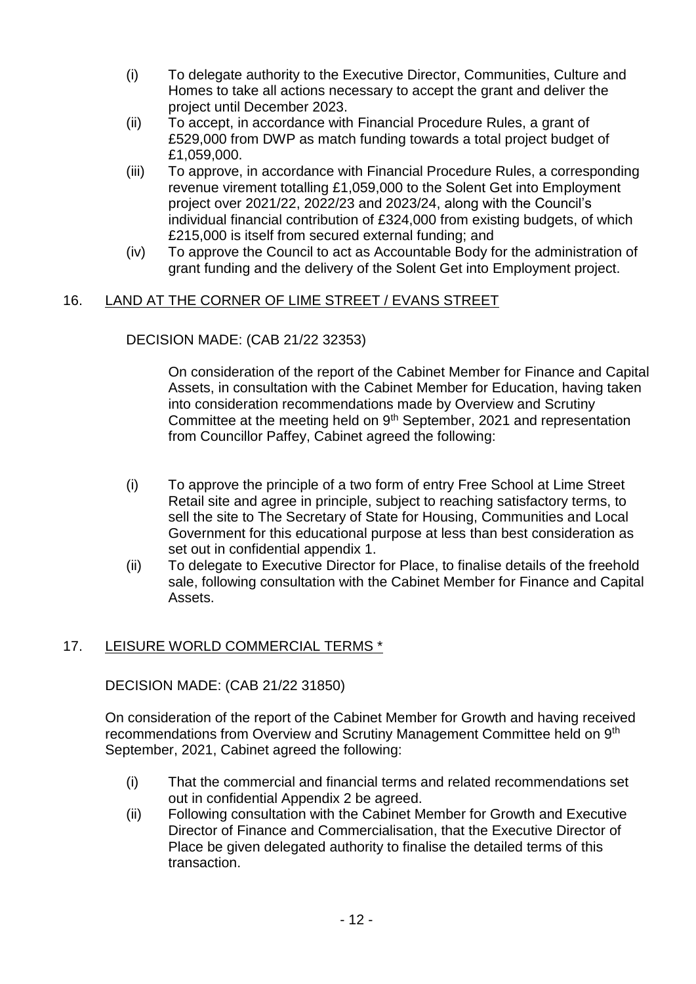- (i) To delegate authority to the Executive Director, Communities, Culture and Homes to take all actions necessary to accept the grant and deliver the project until December 2023.
- (ii) To accept, in accordance with Financial Procedure Rules, a grant of £529,000 from DWP as match funding towards a total project budget of £1,059,000.
- (iii) To approve, in accordance with Financial Procedure Rules, a corresponding revenue virement totalling £1,059,000 to the Solent Get into Employment project over 2021/22, 2022/23 and 2023/24, along with the Council's individual financial contribution of £324,000 from existing budgets, of which £215,000 is itself from secured external funding; and
- (iv) To approve the Council to act as Accountable Body for the administration of grant funding and the delivery of the Solent Get into Employment project.

# 16. LAND AT THE CORNER OF LIME STREET / EVANS STREET

#### DECISION MADE: (CAB 21/22 32353)

On consideration of the report of the Cabinet Member for Finance and Capital Assets, in consultation with the Cabinet Member for Education, having taken into consideration recommendations made by Overview and Scrutiny Committee at the meeting held on 9<sup>th</sup> September, 2021 and representation from Councillor Paffey, Cabinet agreed the following:

- (i) To approve the principle of a two form of entry Free School at Lime Street Retail site and agree in principle, subject to reaching satisfactory terms, to sell the site to The Secretary of State for Housing, Communities and Local Government for this educational purpose at less than best consideration as set out in confidential appendix 1.
- (ii) To delegate to Executive Director for Place, to finalise details of the freehold sale, following consultation with the Cabinet Member for Finance and Capital Assets.

#### 17. LEISURE WORLD COMMERCIAL TERMS \*

DECISION MADE: (CAB 21/22 31850)

On consideration of the report of the Cabinet Member for Growth and having received recommendations from Overview and Scrutiny Management Committee held on 9<sup>th</sup> September, 2021, Cabinet agreed the following:

- (i) That the commercial and financial terms and related recommendations set out in confidential Appendix 2 be agreed.
- (ii) Following consultation with the Cabinet Member for Growth and Executive Director of Finance and Commercialisation, that the Executive Director of Place be given delegated authority to finalise the detailed terms of this transaction.